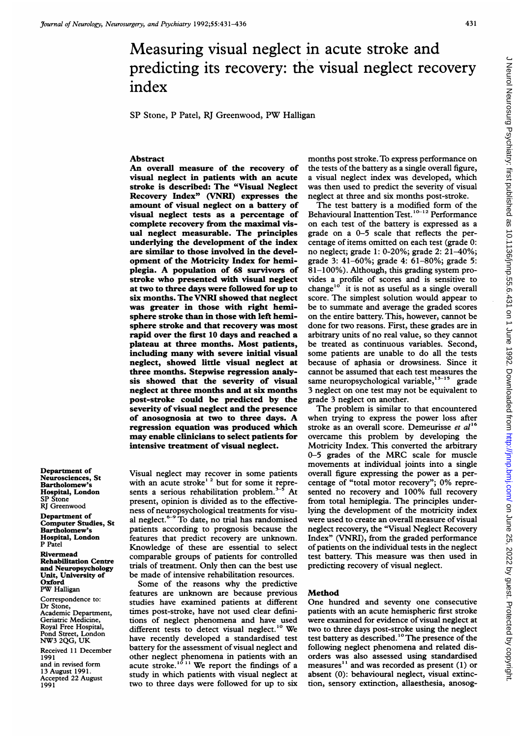# Measuring visual neglect in acute stroke and predicting its recovery: the visual neglect recovery index

SP Stone, P Patel, RJ Greenwood, PW Halligan

# Abstract

An overall measure of the recovery of visual neglect in patients with an acute stroke is described: The "Visual Neglect Recovery Index" (VNRI) expresses the amount of visual neglect on a battery of visual neglect tests as a percentage of complete recovery from the maximal visual neglect measurable. The principles underlying the development of the index are similar to those involved in the development of the Motricity Index for hemiplegia. A population of <sup>68</sup> survivors of stroke who presented with visual neglect at two to three days were followed for up to six months. The VNRI showed that neglect was greater in those with right hemisphere stroke than in those with left hemisphere stroke and that recovery was most rapid over the first 10 days and reached a plateau at three months. Most patients, including many with severe initial visual neglect, showed little visual neglect at three months. Stepwise regression analysis showed that the severity of visual neglect at three months and at six months post-stroke could be predicted by the severity of visual neglect and the presence of anosognosia at two to three days. A regression equation was produced which may enable clinicians to select patients for intensive treatment of visual neglect.

Department of Neurosciences, St **Bartholomew** Hospital, London SP Stone RJ Greenwood

Department of Computer Studies, St Bartholomew's Hospital, London P Patel

# Rivermead

Rehabilitation Centre and Neuropsychology Unit, University of **Oxford** PW Halligan

Correspondence to: Dr Stone, Academic Department, Geriatric Medicine, Royal Free Hospital, Pond Street, London NW3 2QG, UK

Received 11 December 1991 and in revised form 13 August 1991. Accepted 22 August 1991

Visual neglect may recover in some patients with an acute stroke<sup>12</sup> but for some it represents a serious rehabilitation problem. $3-5$  At present, opinion is divided as to the effectiveness of neuropsychological treatments for visual neglect. $6-9$  To date, no trial has randomised patients according to prognosis because the features that predict recovery are unknown. Knowledge of these are essential to select comparable groups of patients for controlled trials of treatment. Only then can the best use be made of intensive rehabilitation resources.

Some of the reasons why the predictive features are unknown are because previous studies have examined patients at different times post-stroke, have not used clear definitions of neglect phenomena and have used different tests to detect visual neglect.<sup>10</sup> We have recently developed a standardised test battery for the assessment of visual neglect and other neglect phenomena in patients with an<br>acute stroke.<sup>1011</sup> We report the findings of a study in which patients with visual neglect at two to three days were followed for up to six months post stroke. To express performance on the tests of the battery as a single overall figure, a visual neglect index was developed, which was then used to predict the severity of visual neglect at three and six months post-stroke.

The test battery is a modified form of the Behavioural Inattention Test.<sup>10-12</sup> Performance on each test of the battery is expressed as a grade on a 0-5 scale that reflects the percentage of items omitted on each test (grade 0: no neglect; grade 1: 0-20%; grade 2: 21-40%; grade 3: 41-60%; grade 4: 61-80%; grade 5: 81-100%). Although, this grading system provides a profile of scores and is sensitive to change<sup>10</sup> it is not as useful as a single overall score. The simplest solution would appear to be to summate and average the graded scores on the entire battery. This, however, cannot be done for two reasons. First, these grades are in arbitrary units of no real value, so they cannot be treated as continuous variables. Second, some patients are unable to do all the tests because of aphasia or drowsiness. Since it cannot be assumed that each test measures the same neuropsychological variable, $13-15$  grade 3 neglect on one test may not be equivalent to grade 3 neglect on another.

The problem is similar to that encountered when trying to express the power loss after stroke as an overall score. Demeurisse et  $al^{16}$ overcame this problem by developing the Motricity Index. This converted the arbitrary 0-5 grades of the MRC scale for muscle movements at individual joints into a single overall figure expressing the power as a percentage of "total motor recovery"; 0% represented no recovery and 100% full recovery from total hemiplegia. The principles underlying the development of the motricity index were used to create an overall measure of visual neglect recovery, the "Visual Neglect Recovery Index" (VNRI), from the graded performance of patients on the individual tests in the neglect test battery. This measure was then used in predicting recovery of visual neglect.

#### Method

One hundred and seventy one consecutive patients with an acute hemispheric first stroke were examined for evidence of visual neglect at two to three days post-stroke using the neglect test battery as described.<sup>10</sup> The presence of the following neglect phenomena and related disorders was also assessed using standardised measures'' and was recorded as present (1) or absent (0): behavioural neglect, visual extinction, sensory extinction, allaesthesia, anosog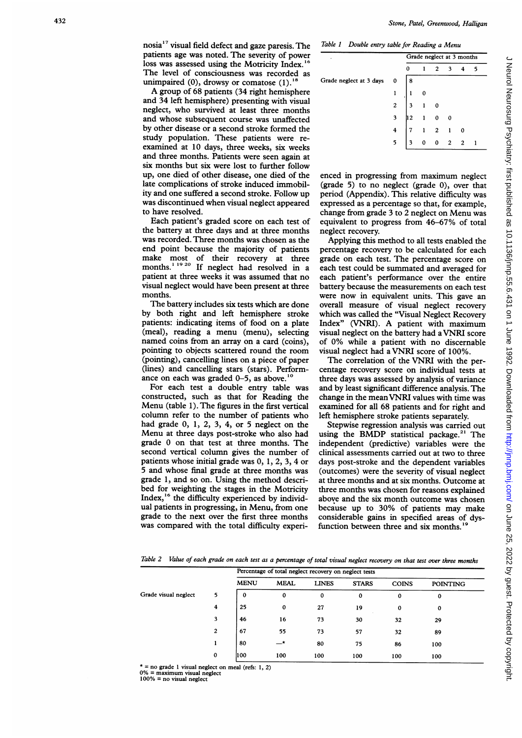nosia'7 visual field defect and gaze paresis. The patients age was noted. The severity of power loss was assessed using the Motricity Index. The level of consciousness was recorded as unimpaired  $(0)$ , drowsy or comatose  $(1)$ .<sup>18</sup>

A group of 68 patients (34 right hemisphere and 34 left hemisphere) presenting with visual neglect, who survived at least three months and whose subsequent course was unaffected by other disease or a second stroke formed the study population. These patients were reexamined at 10 days, three weeks, six weeks and three months. Patients were seen again at six months but six were lost to further follow up, one died of other disease, one died of the late complications of stroke induced immobility and one suffered a second stroke. Follow up was discontinued when visual neglect appeared to have resolved.

Each patient's graded score on each test of the battery at three days and at three months was recorded. Three months was chosen as the end point because the majority of patients make most of their recovery at three months.<sup>'\*\*</sup> If neglect had resolved in a patient at three weeks it was assumed that no visual neglect would have been present at three months.

The battery includes six tests which are done by both right and left hemisphere stroke patients: indicating items of food on a plate (meal), reading <sup>a</sup> menu (menu), selecting named coins from an array on a card (coins), pointing to objects scattered round the room (pointing), cancelling lines on a piece of paper (lines) and cancelling stars (stars). Performance on each was graded  $0-5$ , as above.<sup>1</sup>

For each test a double entry table was constructed, such as that for Reading the Menu (table 1). The figures in the first vertical column refer to the number of patients who had grade 0, 1, 2, 3, 4, or 5 neglect on the Menu at three days post-stroke who also had grade 0 on that test at three months. The second vertical column gives the number of patients whose initial grade was 0, 1, 2, 3, 4 or 5 and whose final grade at three months was grade 1, and so on. Using the method described for weighting the stages in the Motricity Index,<sup>16</sup> the difficulty experienced by individual patients in progressing, in Menu, from one grade to the next over the first three months was compared with the total difficulty experi-

Table <sup>I</sup> Double entry table for Reading a Menu

| ٠                       |                         | Grade neglect at 3 months |  |                             |  |                    |    |  |  |
|-------------------------|-------------------------|---------------------------|--|-----------------------------|--|--------------------|----|--|--|
|                         |                         | 0                         |  | $1 \quad 2 \quad 3 \quad 4$ |  |                    | -5 |  |  |
| Grade neglect at 3 days | 0                       | l 8                       |  |                             |  |                    |    |  |  |
|                         |                         | $\mathbf{1}$              |  |                             |  |                    |    |  |  |
|                         | $\overline{c}$          |                           |  |                             |  |                    |    |  |  |
|                         | $\overline{\mathbf{3}}$ |                           |  |                             |  |                    |    |  |  |
|                         | 4 <sup>1</sup>          |                           |  |                             |  |                    |    |  |  |
|                         | 5                       | $\overline{\mathbf{3}}$   |  |                             |  | $0 \t 0 \t 2 \t 1$ |    |  |  |

enced in progressing from maximum neglect (grade 5) to no neglect (grade 0), over that period (Appendix). This relative difficulty was expressed as a percentage so that, for example, change from grade 3 to 2 neglect on Menu was equivalent to progress from 46-67% of total neglect recovery.

Applying this method to all tests enabled the percentage recovery to be calculated for each grade on each test. The percentage score on each test could be summated and averaged for each patient's performance over the entire battery because the measurements on each test were now in equivalent units. This gave an overall measure of visual neglect recovery which was called the "Visual Neglect Recovery" Index" (VNRI). A patient with maximum visual neglect on the battery had <sup>a</sup> VNRI score of 0% while a patient with no discernable visual neglect had <sup>a</sup> VNRI score of 100%.

The correlation of the VNRI with the percentage recovery score on individual tests at three days was assessed by analysis of variance and by least significant difference analysis. The change in the meanVNRI values with time was examined for all 68 patients and for right and left hemisphere stroke patients separately.

Stepwise regression analysis was carried out using the BMDP statistical package.<sup>21</sup> The independent (predictive) variables were the clinical assessments carried out at two to three days post-stroke and the dependent variables (outcomes) were the severity of visual neglect at three months and at six months. Outcome at three months was chosen for reasons explained above and the six month outcome was chosen because up to 30% of patients may make considerable gains in specified areas of dysfunction between three and six months.<sup>1</sup>

Table 2 Value of each grade on each test as a percentage of total visual neglect recovery on that test over three months

|                      |             | Percentage of total neglect recovery on neglect tests |             |              |              |              |                 |  |  |  |
|----------------------|-------------|-------------------------------------------------------|-------------|--------------|--------------|--------------|-----------------|--|--|--|
|                      |             | <b>MENU</b>                                           | <b>MEAL</b> | <b>LINES</b> | <b>STARS</b> | <b>COINS</b> | <b>POINTING</b> |  |  |  |
| Grade visual neglect | 5           | 0                                                     | 0           | $\bf{0}$     | $\mathbf 0$  | 0            | 0               |  |  |  |
|                      | 4           | 25                                                    | $\bf{0}$    | 27           | 19           | 0            | $\mathbf 0$     |  |  |  |
|                      | 3           | 46                                                    | 16          | 73           | 30           | 32           | 29              |  |  |  |
|                      | 2           | 67                                                    | 55          | 73           | 57           | 32           | 89              |  |  |  |
|                      |             | 80                                                    | ∸           | 80           | 75           | 86           | 100             |  |  |  |
|                      | $\mathbf 0$ | 1100                                                  | 100         | 100          | 100          | 100          | 100             |  |  |  |

 $* = no$  grade 1 visual neglect on meal (refs: 1, 2)

0% = maximum visual neglect 100% = no visual neglect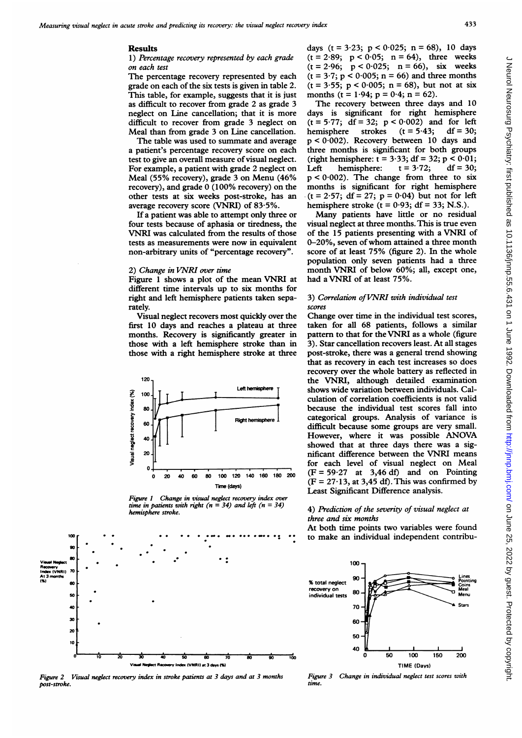## Results

1) Percentage recovery represented by each grade on each test

The percentage recovery represented by each grade on each of the six tests is given in table 2. This table, for example, suggests that it is just as difficult to recover from grade 2 as grade 3 neglect on Line cancellation; that it is more difficult to recover from grade 3 neglect on Meal than from grade 3 on Line cancellation.

The table was used to summate and average a patient's percentage recovery score on each test to give an overall measure of visual neglect. For example, a patient with grade 2 neglect on Meal (55% recovery), grade 3 on Menu (46% recovery), and grade 0 (100% recovery) on the other tests at six weeks post-stroke, has an average recovery score (VNRI) of 83-5%.

If a patient was able to attempt only three or four tests because of aphasia or tiredness, the VNRI was calculated from the results of those tests as measurements were now in equivalent non-arbitrary units of "percentage recovery".

#### 2) Change in VNRI over time

Figure <sup>1</sup> shows <sup>a</sup> plot of the mean VNRI at different time intervals up to six months for right and left hemisphere patients taken separately.

Visual neglect recovers most quickly over the first 10 days and reaches a plateau at three months. Recovery is significantly greater in those with a left hemisphere stroke than in those with a right hemisphere stroke at three



Figure I Change in visual neglect recovery index over time in patients with right ( $n = 34$ ) and left ( $n = 34$ ) hemisphere stroke.



Figure 2 Visual neglect recovery index in stroke patients at 3 days and at 3 months post-stroke.

days  $(t = 3.23; p < 0.025; n = 68)$ , 10 days  $(t = 2.89; p < 0.05; n = 64)$ , three weeks  $(t = 2.96; p < 0.025; n = 66)$ , six weeks  $(t = 3.7; p < 0.005; n = 66)$  and three months (t = 3-55; p < 0-005; n = 68), but not at six months (t =  $1.94$ ; p =  $0.4$ ; n = 62).

The recovery between three days and 10 days is significant for right hemisphere  $(t = 5.77; df = 32; p < 0.002)$  and for left<br>hemisphere strokes  $(t = 5.43; df = 30;$ hemisphere  $p < 0.002$ ). Recovery between 10 days and three months is significant for both groups (right hemisphere:  $t = 3.33$ ; df = 32; p < 0.01;<br>Left hemisphere:  $t = 3.72$ ; df = 30; Left hemisphere:  $p < 0.002$ ). The change from three to six months is significant for right hemisphere  $(t = 2.57; df = 27; p = 0.04)$  but not for left hemisphere stroke ( $t = 0.93$ ; df = 33; N.S.).

Many patients have little or no residual visual neglect at three months. This is true even of the 15 patients presenting with <sup>a</sup> VNRI of 0-20%, seven of whom attained <sup>a</sup> three month score of at least 75% (figure 2). In the whole population only seven patients had a three month VNRI of below 60%; all, except one, had <sup>a</sup> VNRI of at least 75%.

## 3) Correlation of VNRI with individual test scores

Change over time in the individual test scores, taken for all 68 patients, follows a similar pattern to that for the VNRI as <sup>a</sup> whole (figure 3). Star cancellation recovers least. At all stages post-stroke, there was a general trend showing that as recovery in each test increases so does recovery over the whole battery as reflected in the VNRI, although detailed examination shows wide variation between individuals. Calculation of correlation coefficients is not valid because the individual test scores fall into categorical groups. Analysis of variance is difficult because some groups are very small. However, where it was possible ANOVA showed that at three days there was a significant difference between the VNRI means for each level of visual neglect on Meal  $(F = 59.27$  at 3,46 df) and on Pointing  $(F = 27.13$ , at 3,45 df). This was confirmed by Least Significant Difference analysis.

## 4) Prediction of the severity of visual neglect at three and six months

At both time points two variables were found to make an individual independent contribu-



Figure 3 Change in individual neglect test scores with time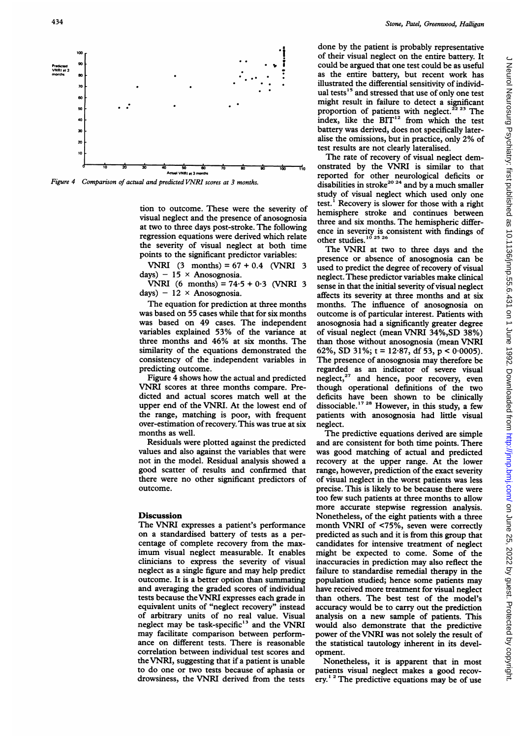

Figure 4 Comparison of actual and predicted VNRI scores at 3 months.

tion to outcome. These were the severity of visual neglect and the presence of anosognosia at two to three days post-stroke. The following regression equations were derived which relate the severity of visual neglect at both time The VNRI at two points to the significant predictor variables:

VNRI  $(3 \text{ months}) = 67 + 0.4$  (VNRI 3) days) - 15  $\times$  Anosognosia.

VNRI (6 months) =  $74.5 + 0.3$  (VNRI 3) days) -  $12 \times$  Anosognosia.

The equation for prediction at three months was based on 55 cases while that for six months was based on 49 cases. The independent variables explained 53% of the variance at three months and 46% at six months. The similarity of the equations demonstrated the consistency of the independent variables in predicting outcome.

Figure 4 shows how the actual and predicted VNRI scores at three months compare. Predicted and actual scores match well at the upper end of the VNRI. At the lowest end of the range, matching is poor, with frequent over-estimation ofrecovery. This was true at six neglect. months as well.

Residuals were plotted against the predicted values and also against the variables that were not in the model. Residua good scatter of results and confirmed that there were no other significant predictors of outcome.

#### Discussion

The VNRI expresses a patient's performance on a standardised battery of tests as a percentage of complete recovery from the maximum visual neglect measurable. It enables clinicians to express the severity of visual neglect as a single figure an outcome. It is a better option than summating and averaging the graded scores of individual tests because the VNRI expresses each grade in equivalent units of "neglect recovery" instead of arbitrary units of no real value. Visual neglect may be task-specific<sup>13</sup> and the VNRI may facilitate comparison between performance on different tests. There is reasonable correlation between individual test scores and opment. the VNRI, suggesting that if a patient is unable to do one or two tests bec drowsiness, the VNRI deri

done by the patient is probably representative of their visual neglect on the entire battery. It done by the patient is probably representative<br>of their visual neglect on the entire battery. It<br>could be argued that one test could be as useful<br>as the entire battery, but recent work has of their visual neglect on the entire battery. It<br>could be argued that one test could be as useful<br>as the entire battery, but recent work has<br>illustrated the differential sensitivity of individ-<br>ual tests<sup>15</sup> and stressed might result in failure to detect a significant proportion of patients with neglect.<sup>22 23</sup> The index, like the BIT<sup>12</sup> from which the test battery was derived, does not specifically lateralise the omissions, but in practice, only 2% of test results are not clearly lateralised.

The rate of recovery of visual neglect demonstrated by the VNRI is similar to that reported for other neurological deficits or disabilities in stroke<sup>20 24</sup> and by a much smaller study of visual neglect which used only one test.' Recovery is slower for those with a right hemisphere stroke and continues between three and six months. The hemispheric differtroke. The following ence in severity is consistent with findings of derived which relate other studies.<sup>10 25</sup>  $^{26}$ 

The VNRI at two to three days and the presence or absence of anosognosia can be used to predict the degree of recovery of visual neglect. These predictor variables make clinical sense in that the initial severity of visual neglect affects its severity at three months and at six months. The influence of anosognosia on outcome is of particular interest. Patients with anosognosia had a significantly greater degree of visual neglect (mean VNRI 34%,SD 38%) than those without anosognosia (mean VNRI 62%, SD 31%;  $t = 12.87$ , df 53,  $p < 0.0005$ ). The presence of anosognosia may therefore be regarded as an indicator of severe visual actual and predicted neglect,<sup>27</sup> and hence, poor recovery, even though operational definitions of the two deficits have been shown to be clinically dissociable.<sup>17 28</sup> However, in this study, a few patients with anosognosia had little visual neglect.

The predictive equations derived are simple and are consistent for both time points. There was good matching of actual and predicted recovery at the upper range. At the lower range, however, prediction of the exact severity of visual neglect in the worst patients was less precise. This is likely to be because there were too few such patients at three months to allow more accurate stepwise regression analysis. Nonetheless, of the eight patients with a three month VNRI of <75%, seven were correctly predicted as such and it is from this group that candidates for intensive treatment of neglect might be expected to come. Some of the inaccuracies in prediction may also reflect the failure to standardise remedial therapy in the population studied; hence some patients may have received more treatment for visual neglect than others. The best test of the model's accuracy would be to carry out the prediction analysis on a new sample of patients. This would also demonstrate that the predictive power of the VNRI was not solely the result of the statistical tautology inherent in its devel-

Nonetheless, it is apparent that in most patients visual neglect makes a good recovery.<sup> $12$ </sup> The predictive equations may be of use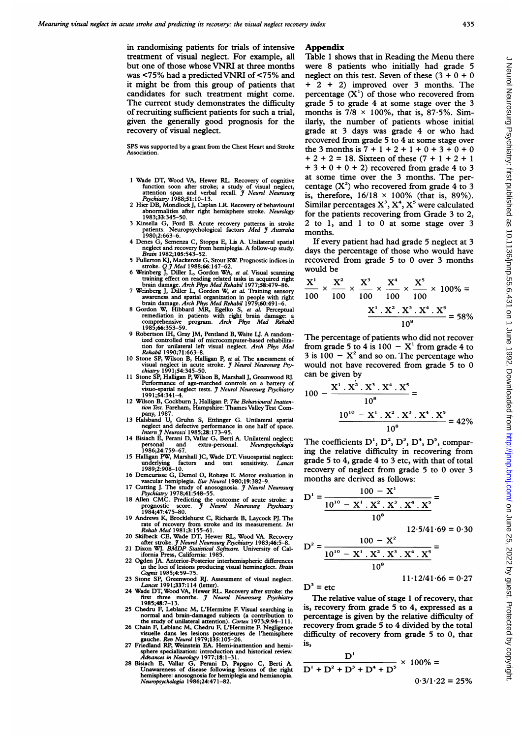in randomising patients for trials of intensive treatment of visual neglect. For example, all but one of those whose VNRI at three months was <75% had <sup>a</sup> predictedVNRI of <75% and it might be from this group of patients that candidates for such treatment might come. The current study demonstrates the difficulty of recruiting sufficient patients for such a trial, given the generally good prognosis for the recovery of visual neglect.

SPS was supported by <sup>a</sup> grant from the Chest Heart and Stroke **Association** 

- Wade DT, Wood VA, Hewer RL. Recovery of cognitive function soon after stroke; a study of visual neglect,<br>attention span and verbal recall. *J Neurol Neurosurg*<br>*Psychiatry* 1988;51:10-13.<br>2 Hier DB, Mondlock J, Caplan LR. Recovery of behavioural
- abnormalities after right hemisphere stroke. *Neurology*<br>1983;33:345–50.
- 3 Kinsella G, Ford B. Acute recovery patterns in stroke patients. Neuropsychological factors *Med J Australia* 1980;2:663-6.
- 4 Denes G, Semenza C, Stoppa E, Uis A. Unilateral spatial neglect and recovery from hemiplegia. A follow-up study. Brain 1982;105:543-52.
- 
- 
- 
- 5 Fullerton KJ, Mackenzie G, Stout RW. Prognostic indices in<br>
stroke.  $Qf$  Med 1988;66:147-62.<br>
6 Weinberg J, Diller L, Gordon WA, et al. Visual scanning<br>
training effect on reading related tasks in acquired right<br>
brain
- 9 Robertson IH, Gray JM, Pentland B, Waite LJ. A randomized controlled trial of microcomputer-based rehabilita-<br>tion for unilateral left visual neglect. *Arch Phys Med*<br>*Rehabil* 1990;71:663–8.
- 10 Stone SP, Wilson B, Halligan P, et al. The assessment of<br>
visual neglect in acute stroke. *J Neurol Neurosurg Psy-*<br> *chiatry* 1991;54:345-50.<br>
11 Stone SP, Halligan P, Wilson B, Marshall J, Greenwood RJ.
- Performance of age-matched controls on a battery of<br>visuo-spatial neglect tests. *J Neurol Neurosurg Psychiatry*<br>1991;54:341-4.<br>12 Wilson B, Cockburn J, Halligan P. *The Behavioural Inatten-*<br>*tion Test*. Fareham, Hampshir
- pany, 1987.
- 13 Halsband U, Gruhn S, Ettlinger G. Unilateral spatial<br>
neglect and defective performance in one half of space.<br> *Intern J Neurosci* 1985;28:173-95.<br>
14 Bisiach E, Perani D, Vallar G, Berti A. Unilateral neglect:
- personal and extra-personal. *Neuropsychologia*<br>1986;24:759–67.
- 15 Halligan PW, Marshall JC, Wade DT. Visuospatial neglect:<br>
underlying factors and test sensitivity. *Lancet*<br>
1989;2:908-10.<br>
16 Demeurisse G, Demol O, Robaye E. Motor evaluation in
- 
- vascular hemiplegia. Eur Neurol 1980;19:382-9.<br>
17 Cutting J. The study of anosognosia. *J Neurol Neurosurg*<br> *Psychiatry* 1978;41:548-55.<br>
18 Allen CMC. Predicting the outcome of acute stroke: a<br>
prognostic score. *J Neur*
- 
- 19 Andrews K, Brocklehurst C, Richards B, Laycock PJ. The<br>rate of recovery from stroke and its measurement. Int<br>Rehab Med 1981;3:155-61.<br>20 Skilbeck CE, Wade DT, Hewer RL, Wood VA. Recovery<br>after stroke. *J* Neurol Neurosu
- 
- 
- in the loci of lesions producing visual hemineglect. Brain Cognit 1985;4:59-75.
- 
- Cognii 1985;4:59–75.<br>23 Stone SP, Greenwood RJ. Assessment of visual neglect.<br>24 Wade DT, Wood VA, Hewer RL. Recovery after stroke: the<br>first three months. J Neurol Neurosurg Psychiatry<br>1985;48:7–13.
- 25 Chedru F, Leblanc M, L'Hermitte F. Visual searching in normal and brain-damaged subjects (a contribution to<br>the study of unilateral attention). Cortex 1973;9:94-111.<br>26 Chain F, Leblanc M, Chedru F, L'Hermitte F. Negligence
- 
- 
- visuelle dans les lesions posterieures de l'hemisphere<br>
visuelle dans les lesions posterieures de l'hemisphere<br>
gauche. Rev Neurol 1979;135:105-26.<br>
27 Friedland RP, Weinstein EA. Hemi-inattention and hemisphere specializa

#### **Appendix**

Table <sup>1</sup> shows that in Reading the Menu there were <sup>8</sup> patients who initially had grade <sup>5</sup> neglect on this test. Seven of these  $(3 + 0 + 0)$ + <sup>2</sup> + 2) improved over <sup>3</sup> months. The percentage  $(X<sup>1</sup>)$  of those who recovered from grade <sup>5</sup> to grade 4 at some stage over the <sup>3</sup> months is  $7/8 \times 100\%$ , that is, 87.5%. Similarly, the number of patients whose initial grade at <sup>3</sup> days was grade <sup>4</sup> or who had recovered from grade <sup>5</sup> to 4 at some stage over the 3 months is  $7 + 1 + 2 + 1 + 0 + 3 + 0 + 0$  $+ 2 + 2 = 18$ . Sixteen of these  $(7 + 1 + 2 + 1)$  $+ 3 + 0 + 0 + 2$ ) recovered from grade 4 to 3 at some time over the <sup>3</sup> months. The percentage  $(X^2)$  who recovered from grade 4 to 3 is, therefore,  $16/18 \times 100\%$  (that is, 89%). Similar percentages  $X^3$ ,  $X^4$ ,  $X^5$  were calculated for the patients recovering from Grade 3 to 2, 2 to 1, and <sup>1</sup> to 0 at some stage over 3 months.

If every patient had had grade 5 neglect at <sup>3</sup> days the percentage of those who would have recovered from grade <sup>5</sup> to <sup>0</sup> over <sup>3</sup> months would be

$$
\frac{X^1}{100} \times \frac{X^2}{100} \times \frac{X^3}{100} \times \frac{X^4}{100} \times \frac{X^5}{100} \times 100\% = \frac{X^1 \cdot X^2 \cdot X^3 \cdot X^4 \cdot X^5}{10^8} = 58\%
$$

The percentage of patients who did not recover from grade 5 to 4 is  $100 - X<sup>1</sup>$  from grade 4 to 3 is  $100 - X^2$  and so on. The percentage who would not have recovered from grade 5 to 0 can be given by

$$
100 - \frac{X^1 \cdot X^2 \cdot X^3 \cdot X^4 \cdot X^5}{10^8} =
$$
  

$$
\frac{10^{10} - X^1 \cdot X^2 \cdot X^3 \cdot X^4 \cdot X^5}{10^8} = 42\%
$$

The coefficients  $D^1$ ,  $D^2$ ,  $D^3$ ,  $D^4$ ,  $D^5$ , comparing the relative difficulty in recovering from grade 5 to 4, grade 4 to 3 etc, with that of total recovery of neglect from grade <sup>5</sup> to 0 over <sup>3</sup> months are derived as follows:

$$
D^{1} = \frac{100 - X^{1}}{10^{10} - X^{1} \cdot X^{2} \cdot X^{3} \cdot X^{4} \cdot X^{5}} =
$$
  

$$
10^{8}
$$

 $100 - X^2$ 

$$
12.5/41.69 = 0.30
$$

$$
D^{2} = \frac{10^{10} - X^{1} \cdot X^{2} \cdot X^{3} \cdot X^{4} \cdot X^{5}}{10^{8}}
$$
  
11·12/41·66 = 0·27

 $D^3$  = etc

The relative value of stage <sup>1</sup> of recovery, that is, recovery from grade <sup>5</sup> to 4, expressed as a percentage is given by the relative difficulty of recovery from grade 5 to 4 divided by the total difficulty of recovery from grade 5 to 0, that is,

$$
\frac{D^1}{D^1 + D^2 + D^3 + D^4 + D^5} \times 100\% =
$$
  
0.3/1.22 = 25%